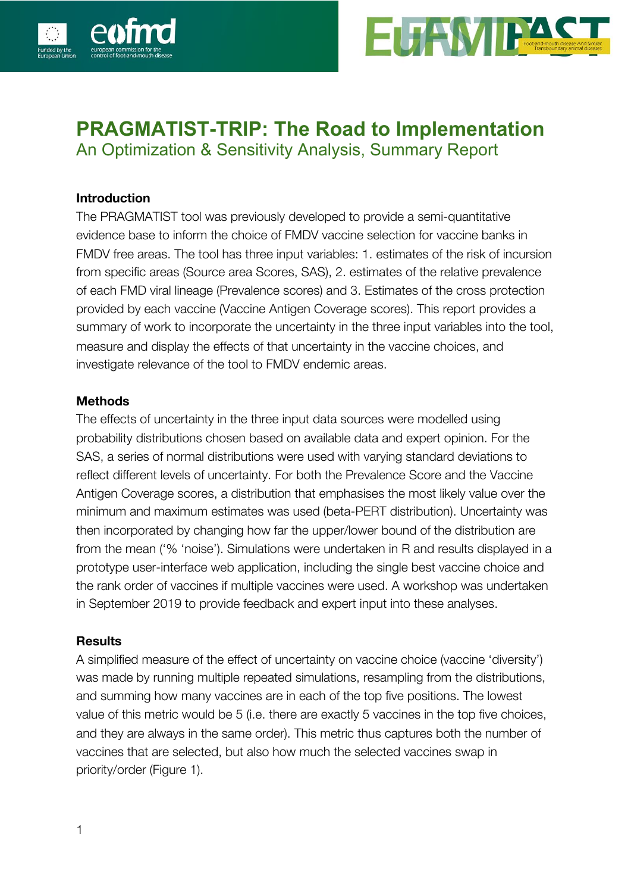



## **PRAGMATIST-TRIP: The Road to Implementation** An Optimization & Sensitivity Analysis, Summary Report

**Introduction**

The PRAGMATIST tool was previously developed to provide a semi-quantitative evidence base to inform the choice of FMDV vaccine selection for vaccine banks in FMDV free areas. The tool has three input variables: 1. estimates of the risk of incursion from specific areas (Source area Scores, SAS), 2. estimates of the relative prevalence of each FMD viral lineage (Prevalence scores) and 3. Estimates of the cross protection provided by each vaccine (Vaccine Antigen Coverage scores). This report provides a summary of work to incorporate the uncertainty in the three input variables into the tool, measure and display the effects of that uncertainty in the vaccine choices, and investigate relevance of the tool to FMDV endemic areas.

## **Methods**

The effects of uncertainty in the three input data sources were modelled using probability distributions chosen based on available data and expert opinion. For the SAS, a series of normal distributions were used with varying standard deviations to reflect different levels of uncertainty. For both the Prevalence Score and the Vaccine Antigen Coverage scores, a distribution that emphasises the most likely value over the minimum and maximum estimates was used (beta-PERT distribution). Uncertainty was then incorporated by changing how far the upper/lower bound of the distribution are from the mean ('% 'noise'). Simulations were undertaken in R and results displayed in a prototype user-interface web application, including the single best vaccine choice and the rank order of vaccines if multiple vaccines were used. A workshop was undertaken in September 2019 to provide feedback and expert input into these analyses.

## **Results**

A simplified measure of the effect of uncertainty on vaccine choice (vaccine 'diversity') was made by running multiple repeated simulations, resampling from the distributions, and summing how many vaccines are in each of the top five positions. The lowest value of this metric would be 5 (i.e. there are exactly 5 vaccines in the top five choices, and they are always in the same order). This metric thus captures both the number of vaccines that are selected, but also how much the selected vaccines swap in priority/order (Figure 1).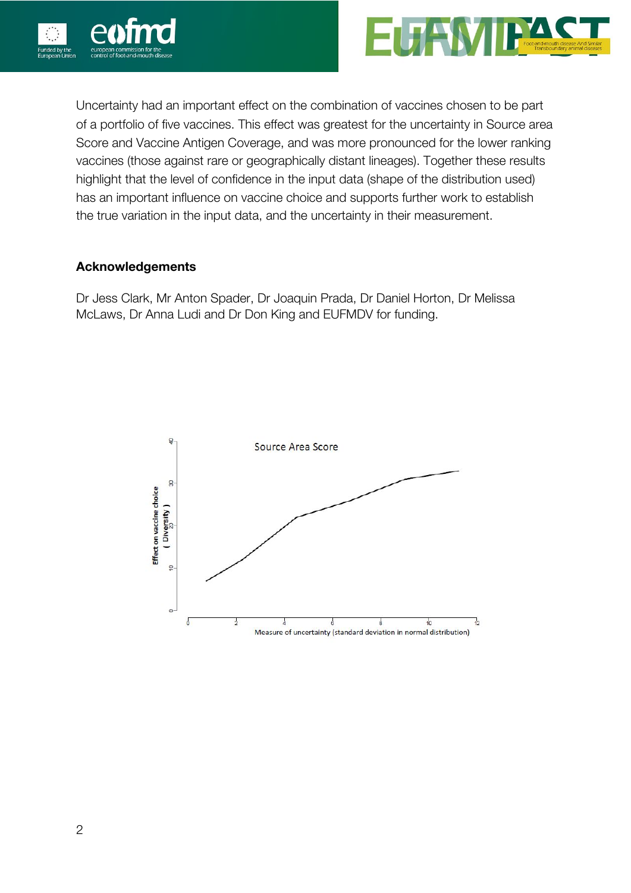



Uncertainty had an important effect on the combination of vaccines chosen to be part of a portfolio of five vaccines. This effect was greatest for the uncertainty in Source area Score and Vaccine Antigen Coverage, and was more pronounced for the lower ranking vaccines (those against rare or geographically distant lineages). Together these results highlight that the level of confidence in the input data (shape of the distribution used) has an important influence on vaccine choice and supports further work to establish the true variation in the input data, and the uncertainty in their measurement.

## **Acknowledgements**

Dr Jess Clark, Mr Anton Spader, Dr Joaquin Prada, Dr Daniel Horton, Dr Melissa McLaws, Dr Anna Ludi and Dr Don King and EUFMDV for funding.